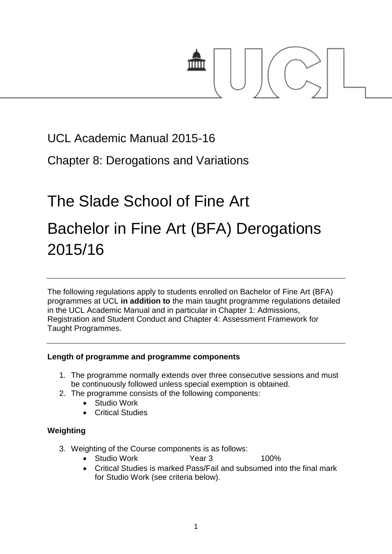

### UCL Academic Manual 2015-16

Chapter 8: Derogations and Variations

## The Slade School of Fine Art

# Bachelor in Fine Art (BFA) Derogations 2015/16

The following regulations apply to students enrolled on Bachelor of Fine Art (BFA) programmes at UCL **in addition to** the main taught programme regulations detailed in the UCL Academic Manual and in particular in Chapter 1: Admissions, Registration and Student Conduct and Chapter 4: Assessment Framework for Taught Programmes.

#### **Length of programme and programme components**

- 1. The programme normally extends over three consecutive sessions and must be continuously followed unless special exemption is obtained.
- 2. The programme consists of the following components:
	- Studio Work
	- Critical Studies

#### **Weighting**

- 3. Weighting of the Course components is as follows:
	- Studio Work **Year 3** 100%
	- Critical Studies is marked Pass/Fail and subsumed into the final mark for Studio Work (see criteria below).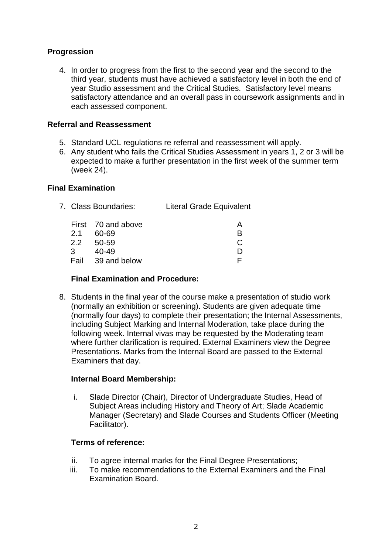#### **Progression**

4. In order to progress from the first to the second year and the second to the third year, students must have achieved a satisfactory level in both the end of year Studio assessment and the Critical Studies. Satisfactory level means satisfactory attendance and an overall pass in coursework assignments and in each assessed component.

#### **Referral and Reassessment**

- 5. Standard UCL regulations re referral and reassessment will apply.
- 6. Any student who fails the Critical Studies Assessment in years 1, 2 or 3 will be expected to make a further presentation in the first week of the summer term (week 24).

#### **Final Examination**

| 7. Class Boundaries: | <b>Literal Grade Equivalent</b> |
|----------------------|---------------------------------|
|----------------------|---------------------------------|

|     | First 70 and above | А |
|-----|--------------------|---|
| 2.1 | 60-69              | R |
|     | 2.2 50-59          | C |
| 3   | 40-49              | D |
|     | Fail 39 and below  |   |

#### **Final Examination and Procedure:**

8. Students in the final year of the course make a presentation of studio work (normally an exhibition or screening). Students are given adequate time (normally four days) to complete their presentation; the Internal Assessments, including Subject Marking and Internal Moderation, take place during the following week. Internal vivas may be requested by the Moderating team where further clarification is required. External Examiners view the Degree Presentations. Marks from the Internal Board are passed to the External Examiners that day.

#### **Internal Board Membership:**

i. Slade Director (Chair), Director of Undergraduate Studies, Head of Subject Areas including History and Theory of Art; Slade Academic Manager (Secretary) and Slade Courses and Students Officer (Meeting Facilitator).

#### **Terms of reference:**

- ii. To agree internal marks for the Final Degree Presentations;
- iii. To make recommendations to the External Examiners and the Final Examination Board.